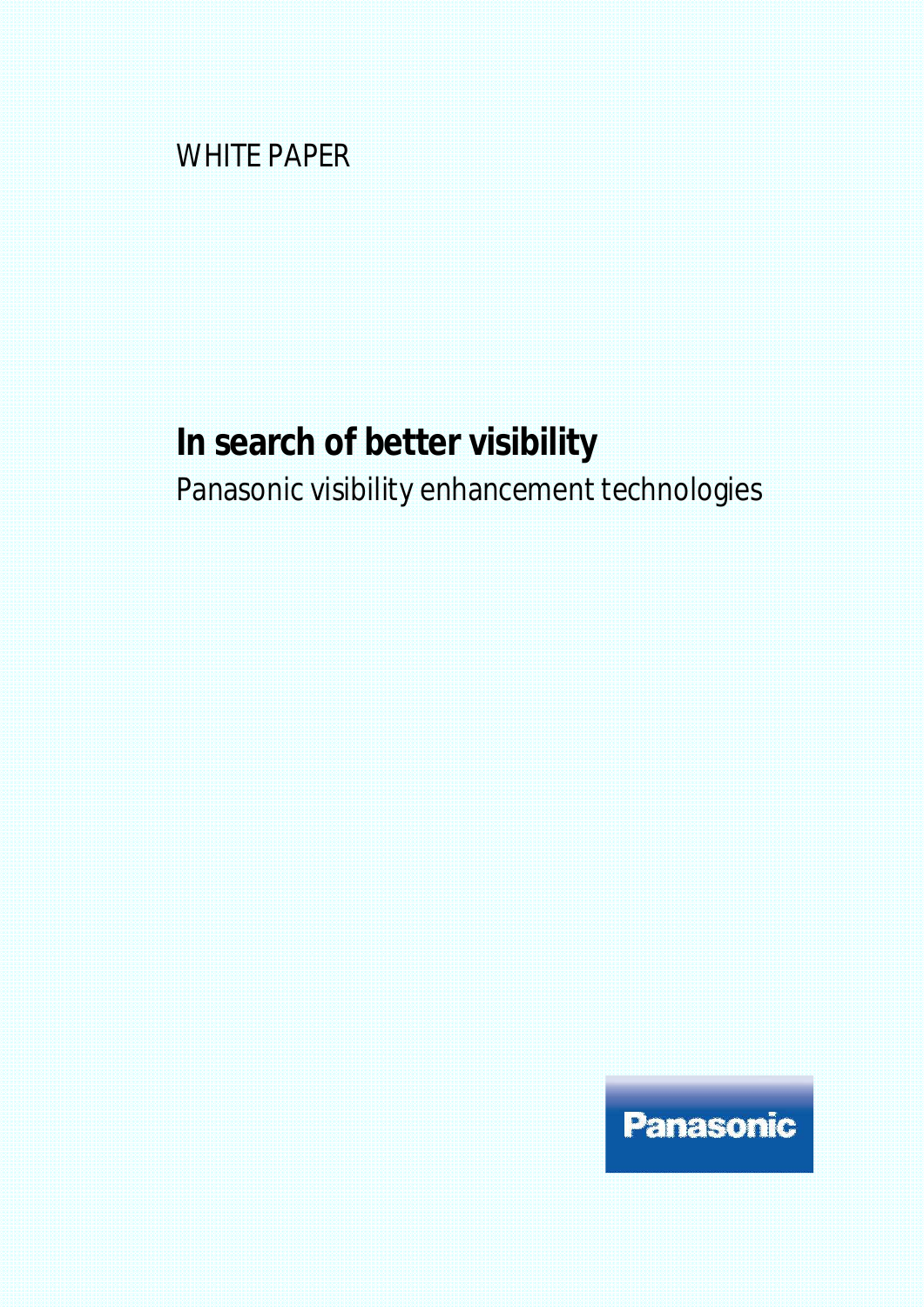WHITE PAPER

# **In search of better visibility** Panasonic visibility enhancement technologies

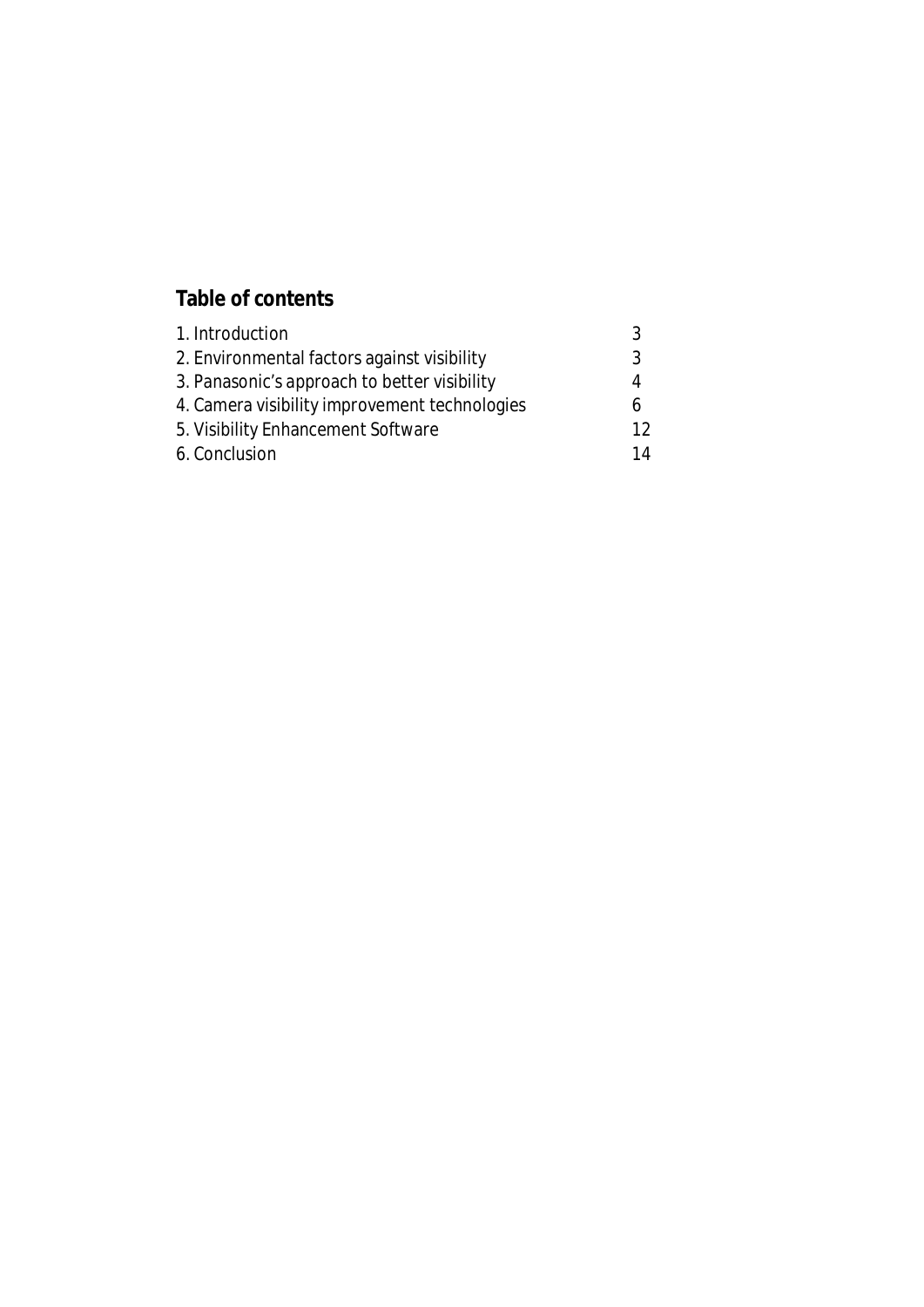### **Table of contents**

| 1. Introduction                               | 3  |
|-----------------------------------------------|----|
| 2. Environmental factors against visibility   | 3  |
| 3. Panasonic's approach to better visibility  | 4  |
| 4. Camera visibility improvement technologies | Ь  |
| 5. Visibility Enhancement Software            | 12 |
| 6. Conclusion                                 | 14 |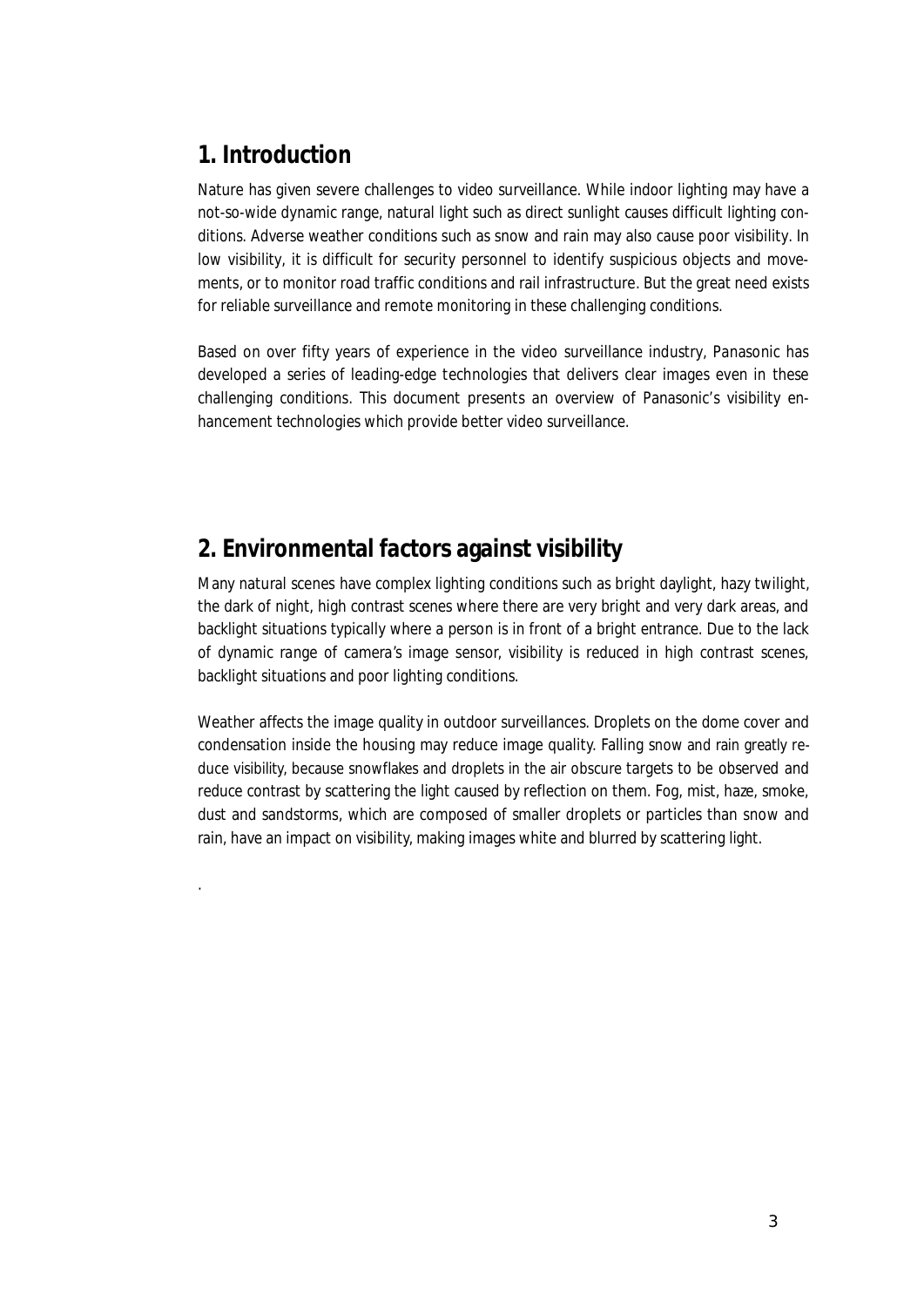### **1. Introduction**

.

Nature has given severe challenges to video surveillance. While indoor lighting may have a not-so-wide dynamic range, natural light such as direct sunlight causes difficult lighting conditions. Adverse weather conditions such as snow and rain may also cause poor visibility. In low visibility, it is difficult for security personnel to identify suspicious objects and movements, or to monitor road traffic conditions and rail infrastructure. But the great need exists for reliable surveillance and remote monitoring in these challenging conditions.

Based on over fifty years of experience in the video surveillance industry, Panasonic has developed a series of leading-edge technologies that delivers clear images even in these challenging conditions. This document presents an overview of Panasonic's visibility enhancement technologies which provide better video surveillance.

### **2. Environmental factors against visibility**

Many natural scenes have complex lighting conditions such as bright daylight, hazy twilight, the dark of night, high contrast scenes where there are very bright and very dark areas, and backlight situations typically where a person is in front of a bright entrance. Due to the lack of dynamic range of camera's image sensor, visibility is reduced in high contrast scenes, backlight situations and poor lighting conditions.

Weather affects the image quality in outdoor surveillances. Droplets on the dome cover and condensation inside the housing may reduce image quality. Falling snow and rain greatly reduce visibility, because snowflakes and droplets in the air obscure targets to be observed and reduce contrast by scattering the light caused by reflection on them. Fog, mist, haze, smoke, dust and sandstorms, which are composed of smaller droplets or particles than snow and rain, have an impact on visibility, making images white and blurred by scattering light.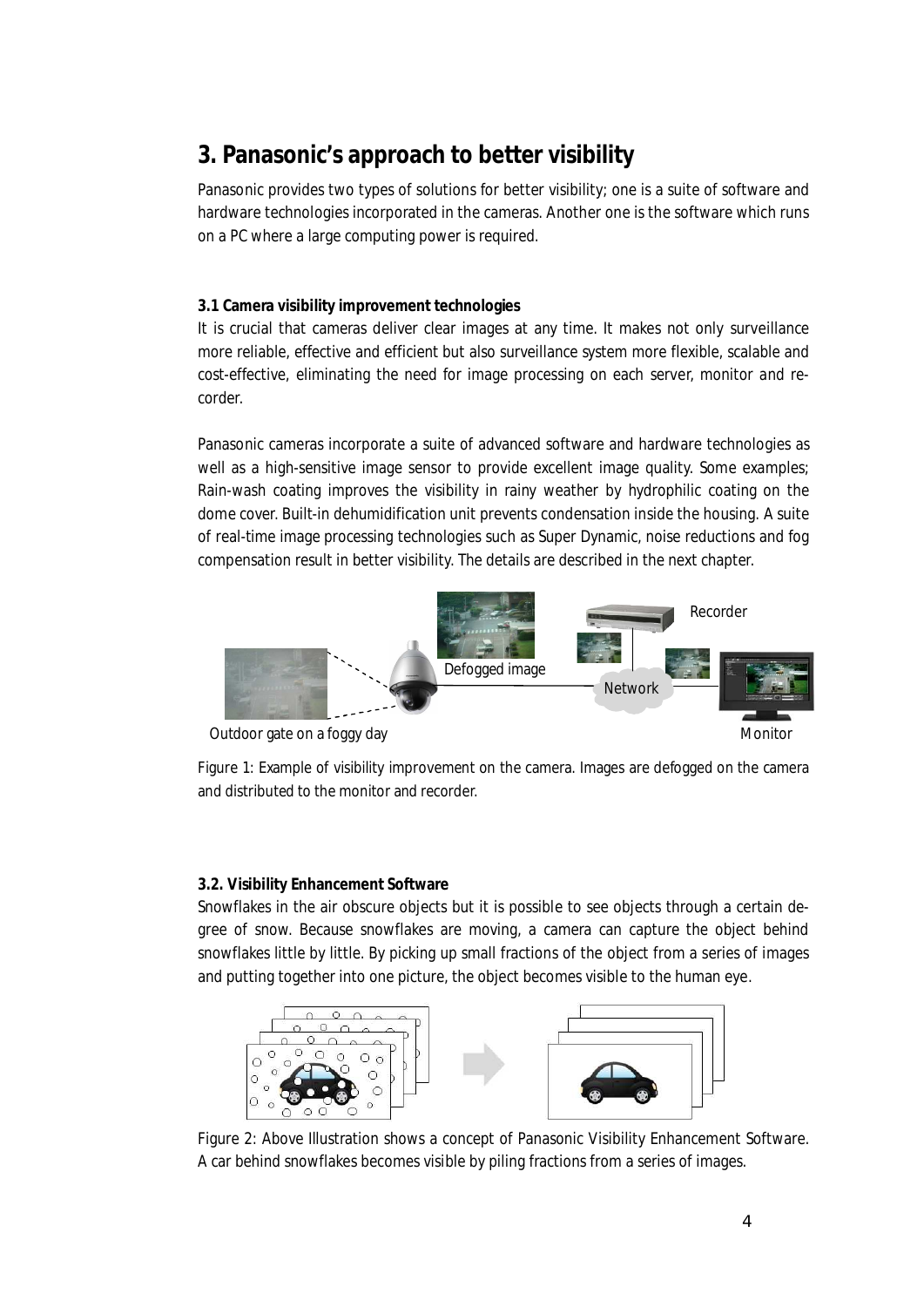## **3. Panasonic's approach to better visibility**

Panasonic provides two types of solutions for better visibility; one is a suite of software and hardware technologies incorporated in the cameras. Another one is the software which runs on a PC where a large computing power is required.

#### **3.1 Camera visibility improvement technologies**

It is crucial that cameras deliver clear images at any time. It makes not only surveillance more reliable, effective and efficient but also surveillance system more flexible, scalable and cost-effective, eliminating the need for image processing on each server, monitor and recorder.

Panasonic cameras incorporate a suite of advanced software and hardware technologies as well as a high-sensitive image sensor to provide excellent image quality. Some examples; Rain-wash coating improves the visibility in rainy weather by hydrophilic coating on the dome cover. Built-in dehumidification unit prevents condensation inside the housing. A suite of real-time image processing technologies such as Super Dynamic, noise reductions and fog compensation result in better visibility. The details are described in the next chapter.



Outdoor gate on a foggy day

Figure 1: Example of visibility improvement on the camera. Images are defogged on the camera and distributed to the monitor and recorder.

#### **3.2. Visibility Enhancement Software**

Snowflakes in the air obscure objects but it is possible to see objects through a certain degree of snow. Because snowflakes are moving, a camera can capture the object behind snowflakes little by little. By picking up small fractions of the object from a series of images and putting together into one picture, the object becomes visible to the human eye.



Figure 2: Above Illustration shows a concept of Panasonic Visibility Enhancement Software. A car behind snowflakes becomes visible by piling fractions from a series of images.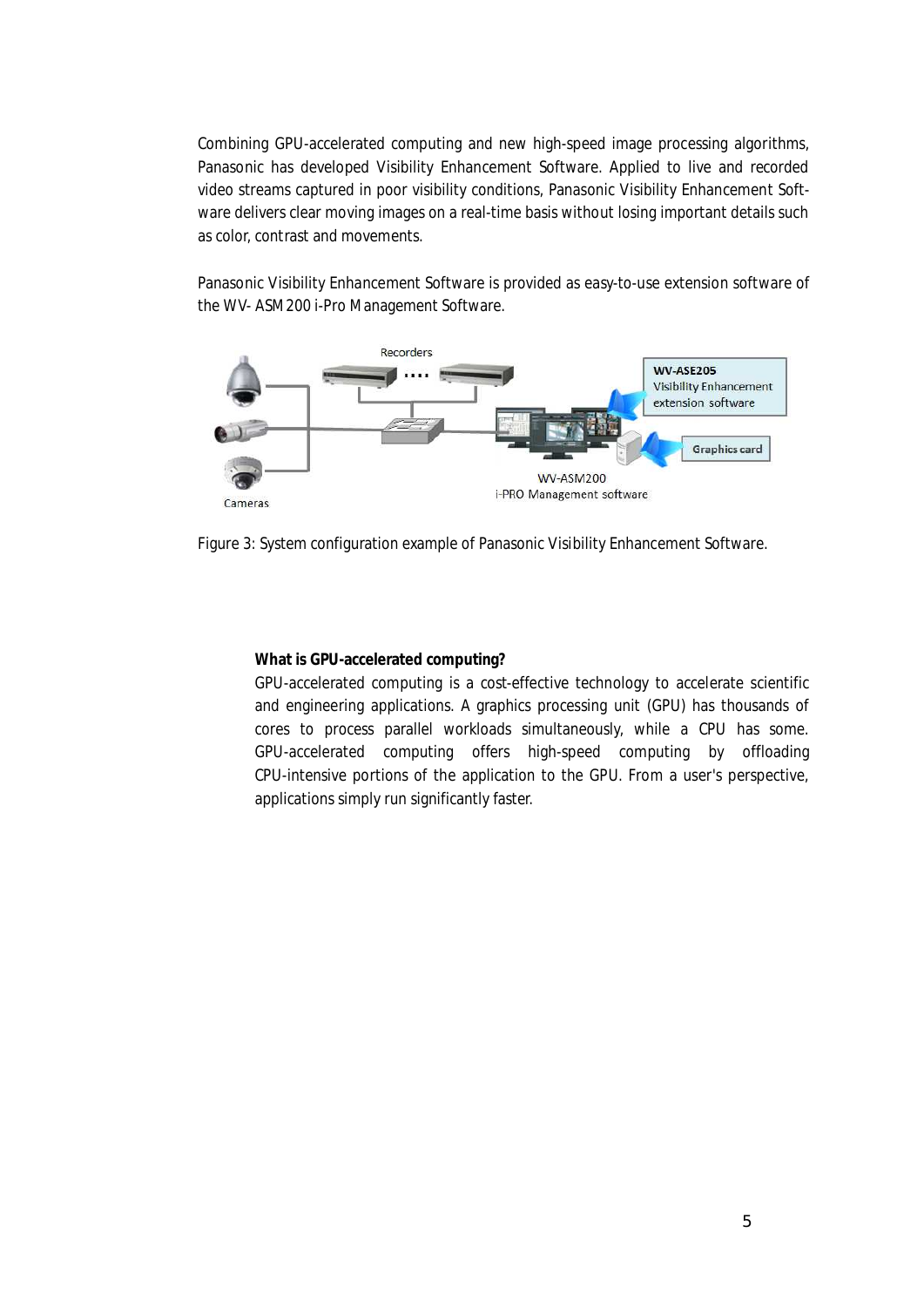Combining GPU-accelerated computing and new high-speed image processing algorithms, Panasonic has developed Visibility Enhancement Software. Applied to live and recorded video streams captured in poor visibility conditions, Panasonic Visibility Enhancement Software delivers clear moving images on a real-time basis without losing important details such as color, contrast and movements.

Panasonic Visibility Enhancement Software is provided as easy-to-use extension software of the WV- ASM200 i-Pro Management Software.



Figure 3: System configuration example of Panasonic Visibility Enhancement Software.

**What is GPU-accelerated computing?**

GPU-accelerated computing is a cost-effective technology to accelerate scientific and engineering applications. A graphics processing unit (GPU) has thousands of cores to process parallel workloads simultaneously, while a CPU has some. GPU-accelerated computing offers high-speed computing by offloading CPU-intensive portions of the application to the GPU. From a user's perspective, applications simply run significantly faster.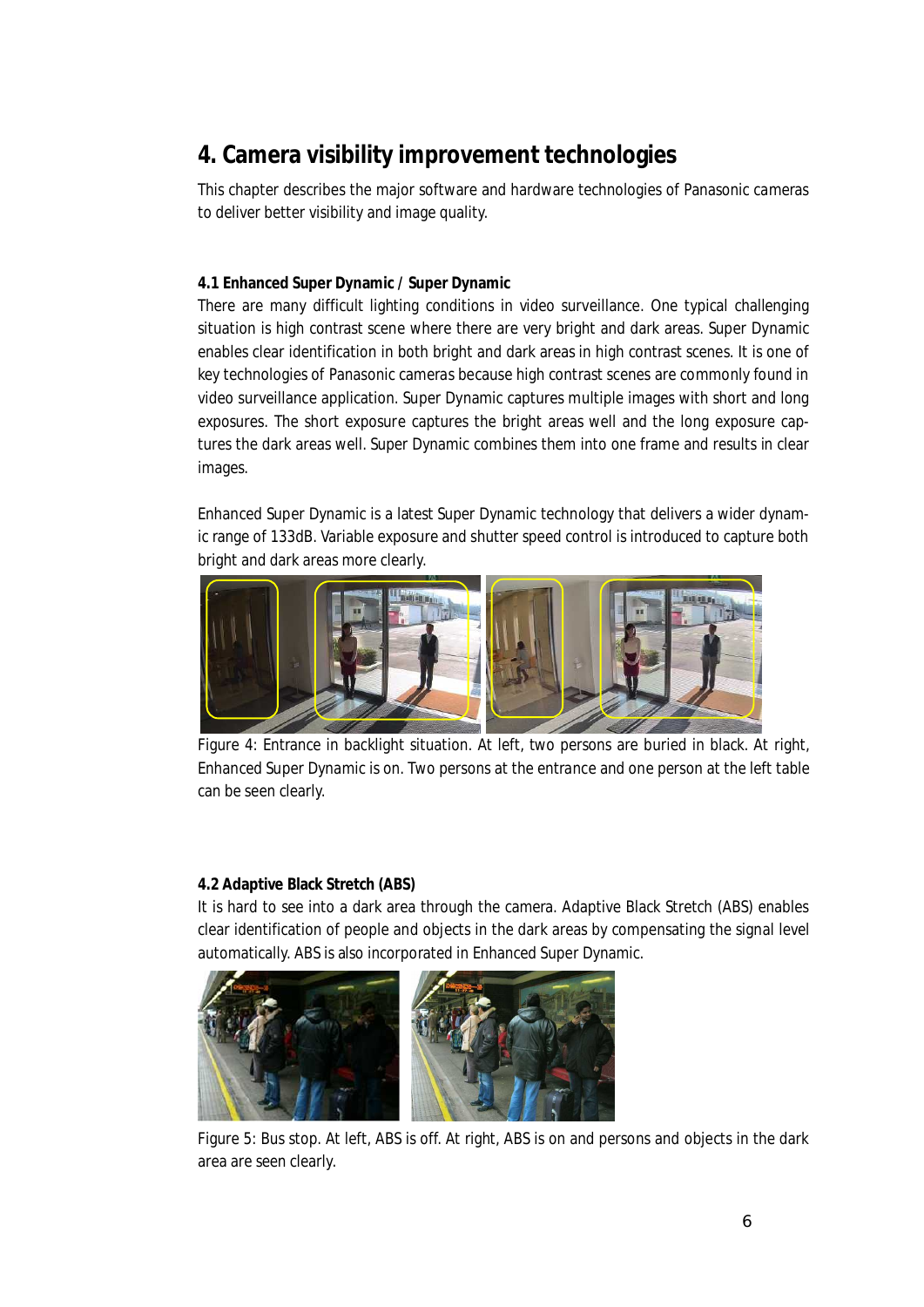# **4. Camera visibility improvement technologies**

This chapter describes the major software and hardware technologies of Panasonic cameras to deliver better visibility and image quality.

#### **4.1 Enhanced Super Dynamic / Super Dynamic**

There are many difficult lighting conditions in video surveillance. One typical challenging situation is high contrast scene where there are very bright and dark areas. Super Dynamic enables clear identification in both bright and dark areas in high contrast scenes. It is one of key technologies of Panasonic cameras because high contrast scenes are commonly found in video surveillance application. Super Dynamic captures multiple images with short and long exposures. The short exposure captures the bright areas well and the long exposure captures the dark areas well. Super Dynamic combines them into one frame and results in clear images.

Enhanced Super Dynamic is a latest Super Dynamic technology that delivers a wider dynamic range of 133dB. Variable exposure and shutter speed control is introduced to capture both bright and dark areas more clearly.



Figure 4: Entrance in backlight situation. At left, two persons are buried in black. At right, Enhanced Super Dynamic is on. Two persons at the entrance and one person at the left table can be seen clearly.

#### **4.2 Adaptive Black Stretch (ABS)**

It is hard to see into a dark area through the camera. Adaptive Black Stretch (ABS) enables clear identification of people and objects in the dark areas by compensating the signal level automatically. ABS is also incorporated in Enhanced Super Dynamic.



Figure 5: Bus stop. At left, ABS is off. At right, ABS is on and persons and objects in the dark area are seen clearly.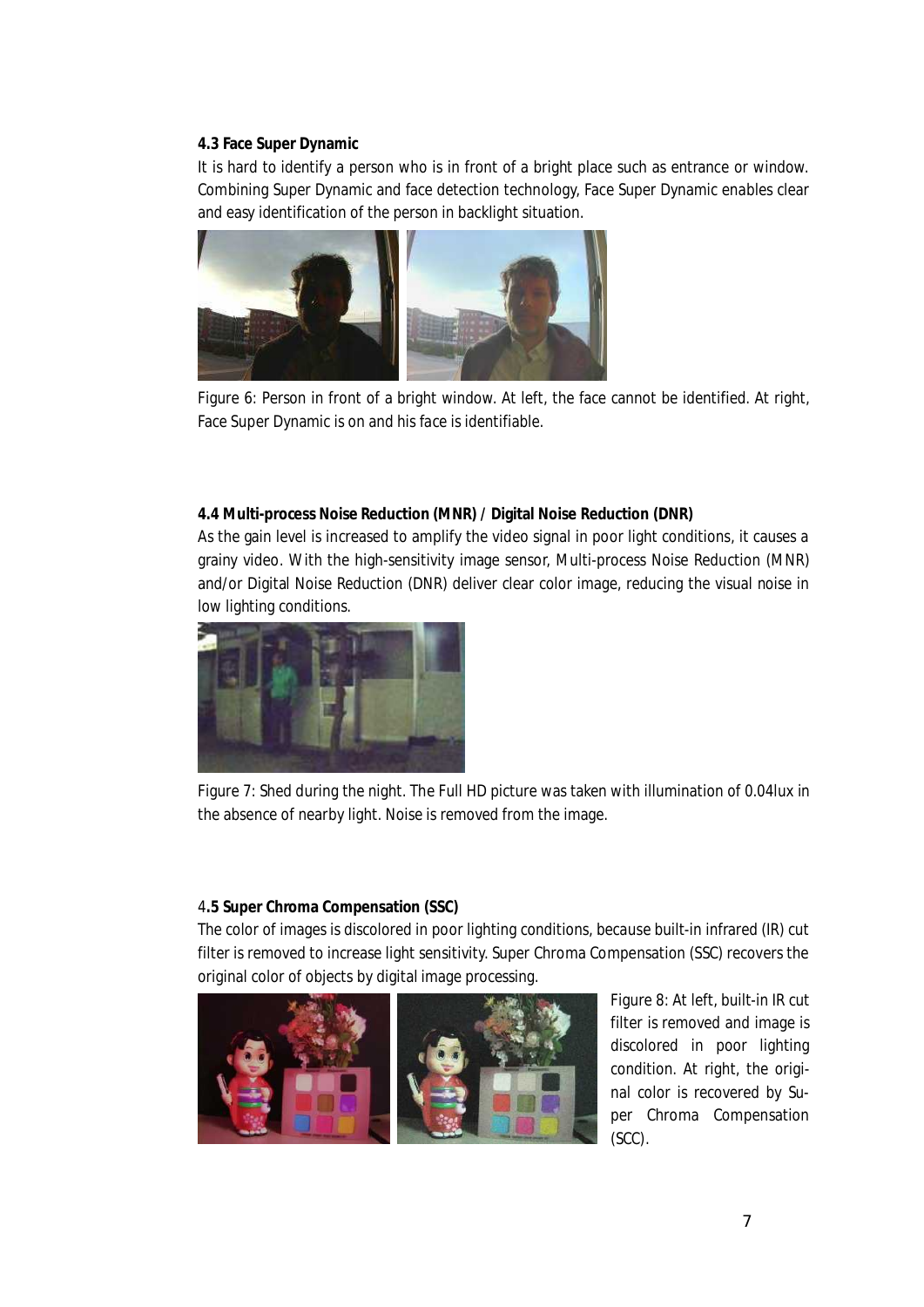#### **4.3 Face Super Dynamic**

It is hard to identify a person who is in front of a bright place such as entrance or window. Combining Super Dynamic and face detection technology, Face Super Dynamic enables clear and easy identification of the person in backlight situation.



Figure 6: Person in front of a bright window. At left, the face cannot be identified. At right, Face Super Dynamic is on and his face is identifiable.

**4.4 Multi-process Noise Reduction (MNR) / Digital Noise Reduction (DNR)** As the gain level is increased to amplify the video signal in poor light conditions, it causes a grainy video. With the high-sensitivity image sensor, Multi-process Noise Reduction (MNR) and/or Digital Noise Reduction (DNR) deliver clear color image, reducing the visual noise in low lighting conditions.



Figure 7: Shed during the night. The Full HD picture was taken with illumination of 0.04lux in the absence of nearby light. Noise is removed from the image.

#### 4**.5 Super Chroma Compensation (SSC)**

The color of images is discolored in poor lighting conditions, because built-in infrared (IR) cut filter is removed to increase light sensitivity. Super Chroma Compensation (SSC) recovers the original color of objects by digital image processing.



Figure 8: At left, built-in IR cut filter is removed and image is discolored in poor lighting condition. At right, the original color is recovered by Super Chroma Compensation (SCC).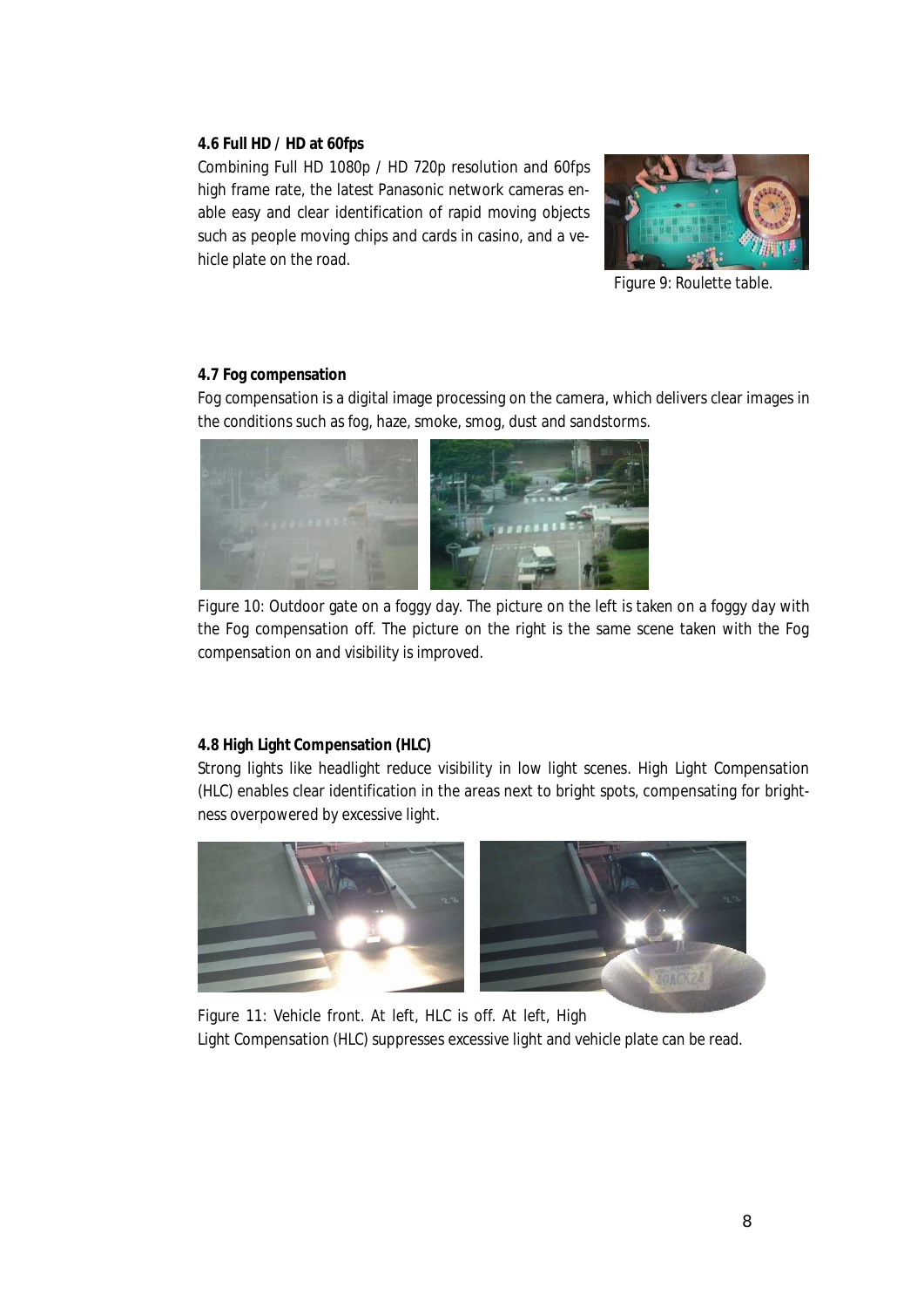#### **4.6 Full HD / HD at 60fps**

Combining Full HD 1080p / HD 720p resolution and 60fps high frame rate, the latest Panasonic network cameras enable easy and clear identification of rapid moving objects such as people moving chips and cards in casino, and a vehicle plate on the road.



Figure 9: Roulette table.

#### **4.7 Fog compensation**

Fog compensation is a digital image processing on the camera, which delivers clear images in the conditions such as fog, haze, smoke, smog, dust and sandstorms.



Figure 10: Outdoor gate on a foggy day. The picture on the left is taken on a foggy day with the Fog compensation off. The picture on the right is the same scene taken with the Fog compensation on and visibility is improved.

#### **4.8 High Light Compensation (HLC)**

Strong lights like headlight reduce visibility in low light scenes. High Light Compensation (HLC) enables clear identification in the areas next to bright spots, compensating for brightness overpowered by excessive light.



Figure 11: Vehicle front. At left, HLC is off. At left, High Light Compensation (HLC) suppresses excessive light and vehicle plate can be read.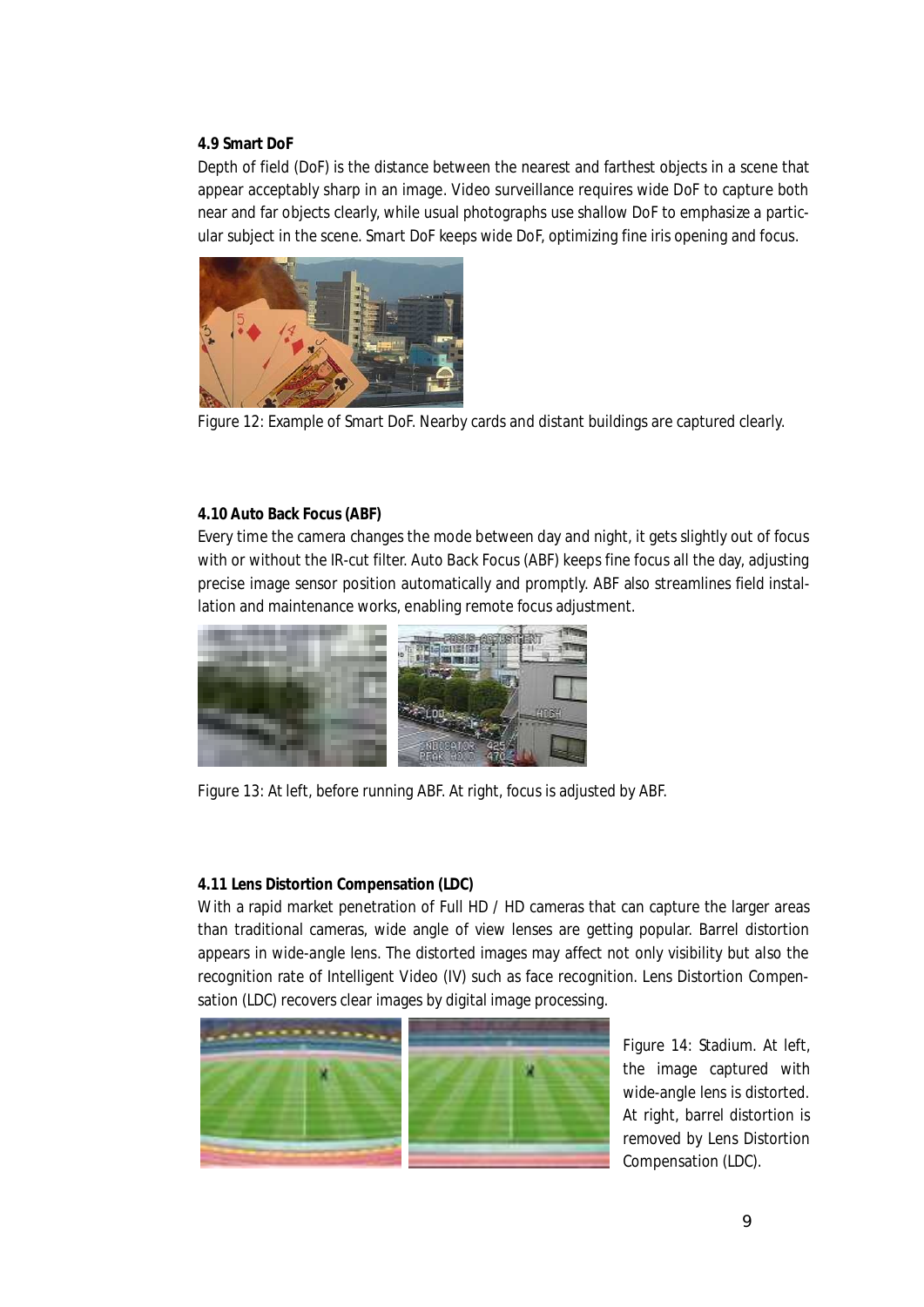#### **4.9 Smart DoF**

Depth of field (DoF) is the distance between the nearest and farthest objects in a scene that appear acceptably sharp in an image. Video surveillance requires wide DoF to capture both near and far objects clearly, while usual photographs use shallow DoF to emphasize a particular subject in the scene. Smart DoF keeps wide DoF, optimizing fine iris opening and focus.



Figure 12: Example of Smart DoF. Nearby cards and distant buildings are captured clearly.

#### **4.10 Auto Back Focus (ABF)**

Every time the camera changes the mode between day and night, it gets slightly out of focus with or without the IR-cut filter. Auto Back Focus (ABF) keeps fine focus all the day, adjusting precise image sensor position automatically and promptly. ABF also streamlines field installation and maintenance works, enabling remote focus adjustment.



Figure 13: At left, before running ABF. At right, focus is adjusted by ABF.

#### **4.11 Lens Distortion Compensation (LDC)**

With a rapid market penetration of Full HD / HD cameras that can capture the larger areas than traditional cameras, wide angle of view lenses are getting popular. Barrel distortion appears in wide-angle lens. The distorted images may affect not only visibility but also the recognition rate of Intelligent Video (IV) such as face recognition. Lens Distortion Compensation (LDC) recovers clear images by digital image processing.



Figure 14: Stadium. At left, the image captured with wide-angle lens is distorted. At right, barrel distortion is removed by Lens Distortion Compensation (LDC).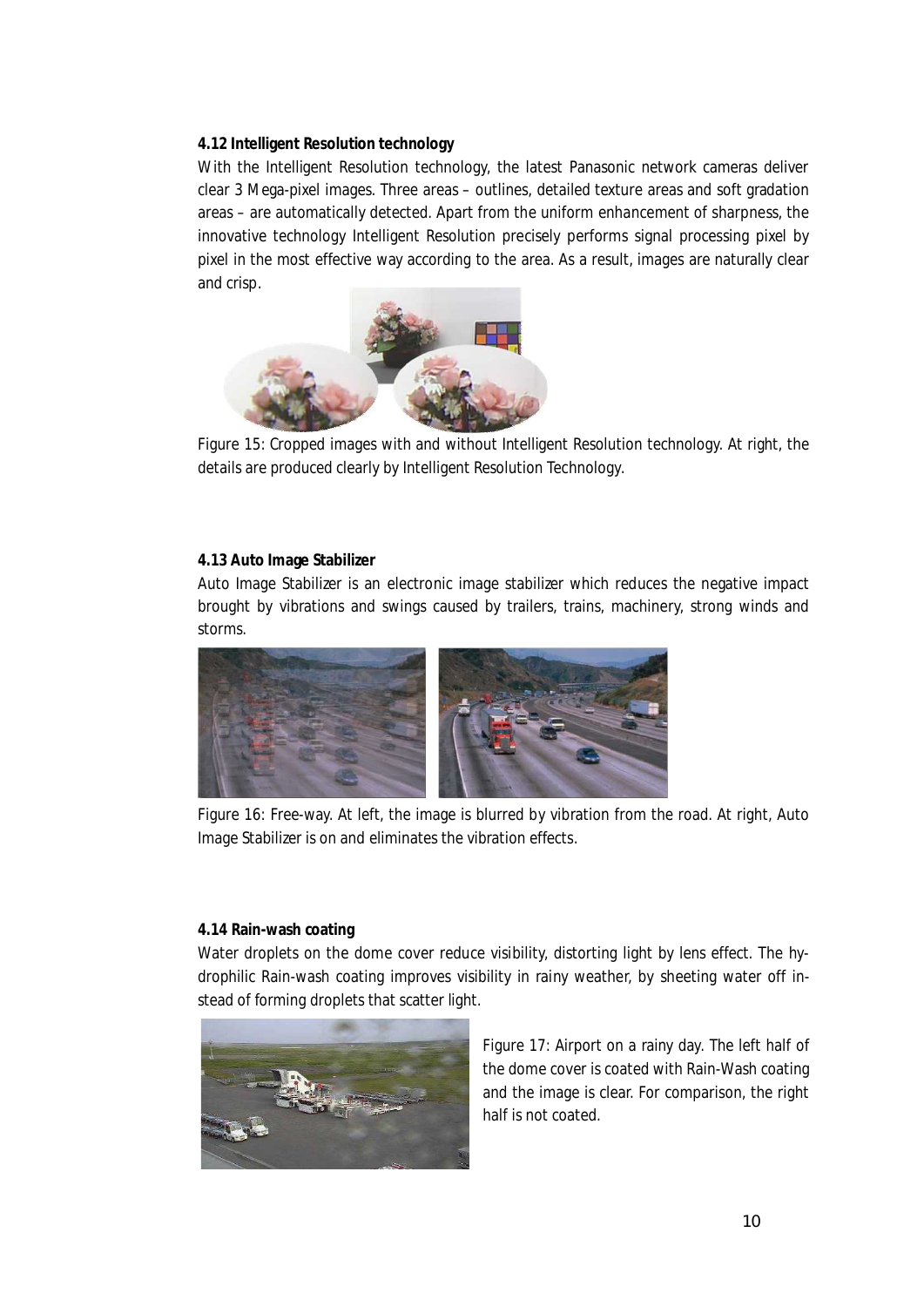**4.12 Intelligent Resolution technology**

With the Intelligent Resolution technology, the latest Panasonic network cameras deliver clear 3 Mega-pixel images. Three areas – outlines, detailed texture areas and soft gradation areas – are automatically detected. Apart from the uniform enhancement of sharpness, the innovative technology Intelligent Resolution precisely performs signal processing pixel by pixel in the most effective way according to the area. As a result, images are naturally clear and crisp.



Figure 15: Cropped images with and without Intelligent Resolution technology. At right, the details are produced clearly by Intelligent Resolution Technology.

#### **4.13 Auto Image Stabilizer**

Auto Image Stabilizer is an electronic image stabilizer which reduces the negative impact brought by vibrations and swings caused by trailers, trains, machinery, strong winds and storms.



Figure 16: Free-way. At left, the image is blurred by vibration from the road. At right, Auto Image Stabilizer is on and eliminates the vibration effects.

#### **4.14 Rain-wash coating**

Water droplets on the dome cover reduce visibility, distorting light by lens effect. The hydrophilic Rain-wash coating improves visibility in rainy weather, by sheeting water off instead of forming droplets that scatter light.



Figure 17: Airport on a rainy day. The left half of the dome cover is coated with Rain-Wash coating and the image is clear. For comparison, the right half is not coated.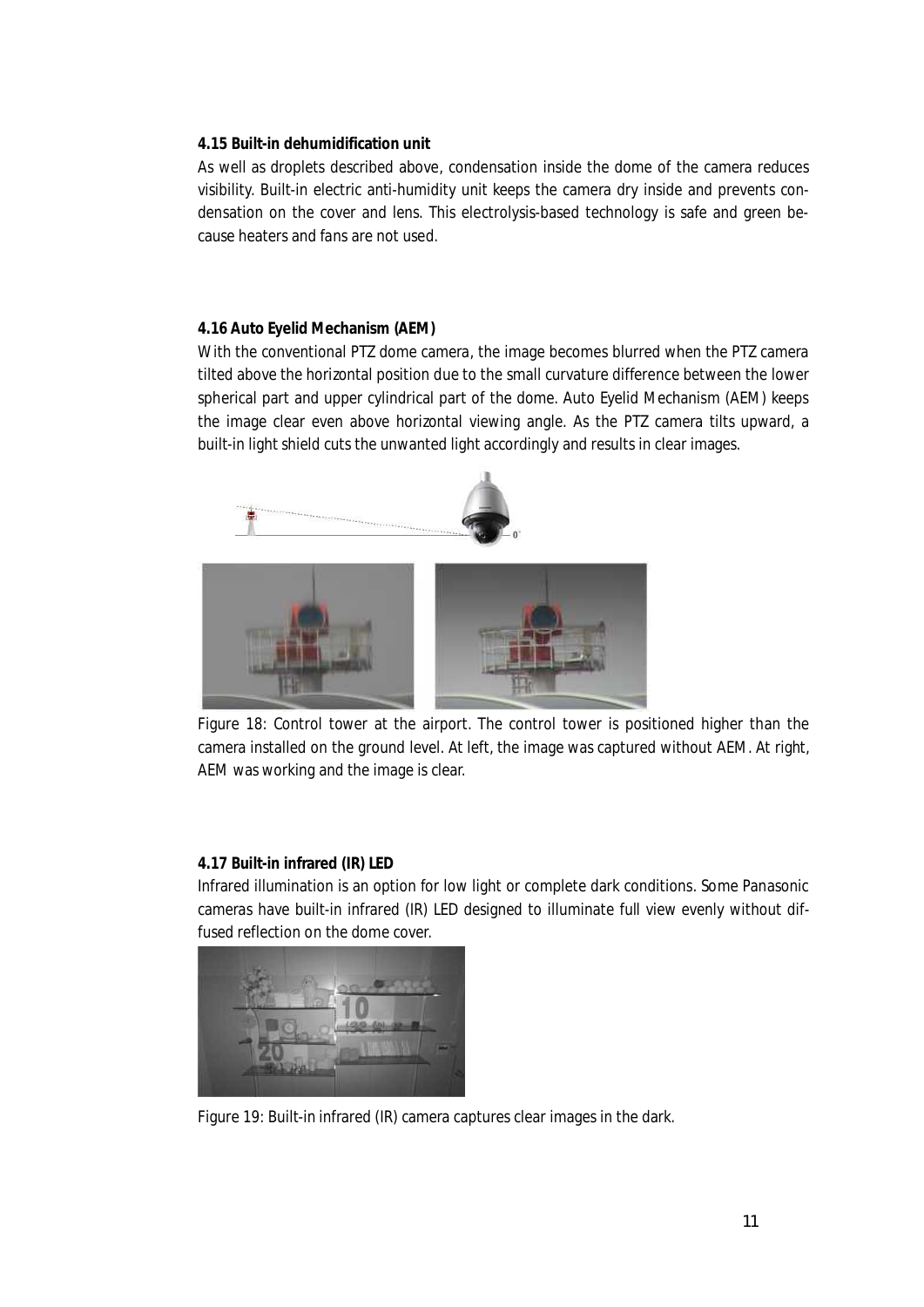#### **4.15 Built-in dehumidification unit**

As well as droplets described above, condensation inside the dome of the camera reduces visibility. Built-in electric anti-humidity unit keeps the camera dry inside and prevents condensation on the cover and lens. This electrolysis-based technology is safe and green because heaters and fans are not used.

#### **4.16 Auto Eyelid Mechanism (AEM)**

With the conventional PTZ dome camera, the image becomes blurred when the PTZ camera tilted above the horizontal position due to the small curvature difference between the lower spherical part and upper cylindrical part of the dome. Auto Eyelid Mechanism (AEM) keeps the image clear even above horizontal viewing angle. As the PTZ camera tilts upward, a built-in light shield cuts the unwanted light accordingly and results in clear images.



Figure 18: Control tower at the airport. The control tower is positioned higher than the camera installed on the ground level. At left, the image was captured without AEM. At right, AEM was working and the image is clear.

#### **4.17 Built-in infrared (IR) LED**

Infrared illumination is an option for low light or complete dark conditions. Some Panasonic cameras have built-in infrared (IR) LED designed to illuminate full view evenly without diffused reflection on the dome cover.



Figure 19: Built-in infrared (IR) camera captures clear images in the dark.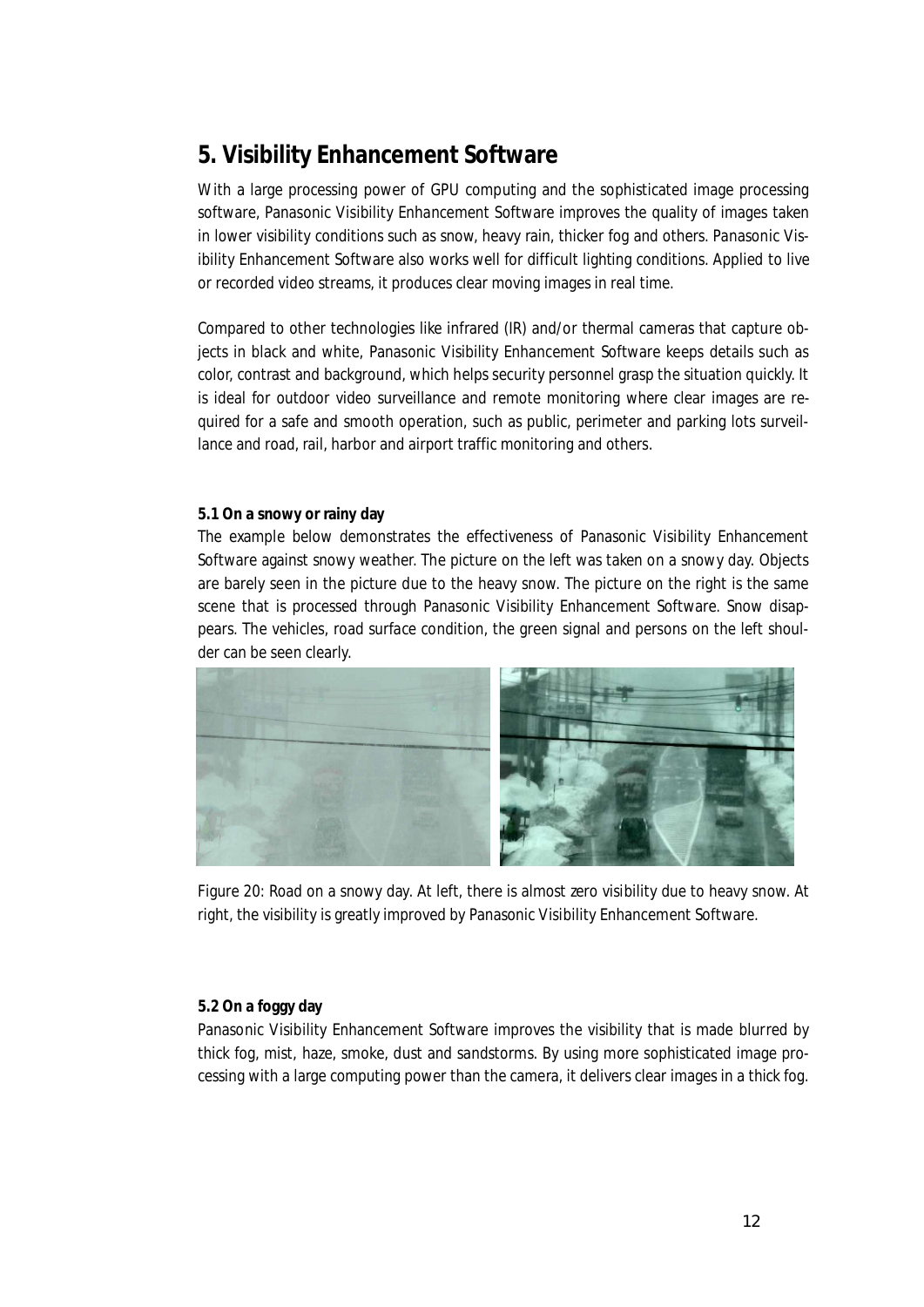# **5. Visibility Enhancement Software**

With a large processing power of GPU computing and the sophisticated image processing software, Panasonic Visibility Enhancement Software improves the quality of images taken in lower visibility conditions such as snow, heavy rain, thicker fog and others. Panasonic Visibility Enhancement Software also works well for difficult lighting conditions. Applied to live or recorded video streams, it produces clear moving images in real time.

Compared to other technologies like infrared (IR) and/or thermal cameras that capture objects in black and white, Panasonic Visibility Enhancement Software keeps details such as color, contrast and background, which helps security personnel grasp the situation quickly. It is ideal for outdoor video surveillance and remote monitoring where clear images are required for a safe and smooth operation, such as public, perimeter and parking lots surveillance and road, rail, harbor and airport traffic monitoring and others.

#### **5.1 On a snowy or rainy day**

The example below demonstrates the effectiveness of Panasonic Visibility Enhancement Software against snowy weather. The picture on the left was taken on a snowy day. Objects are barely seen in the picture due to the heavy snow. The picture on the right is the same scene that is processed through Panasonic Visibility Enhancement Software. Snow disappears. The vehicles, road surface condition, the green signal and persons on the left shoulder can be seen clearly.



Figure 20: Road on a snowy day. At left, there is almost zero visibility due to heavy snow. At right, the visibility is greatly improved by Panasonic Visibility Enhancement Software.

#### **5.2 On a foggy day**

Panasonic Visibility Enhancement Software improves the visibility that is made blurred by thick fog, mist, haze, smoke, dust and sandstorms. By using more sophisticated image processing with a large computing power than the camera, it delivers clear images in a thick fog.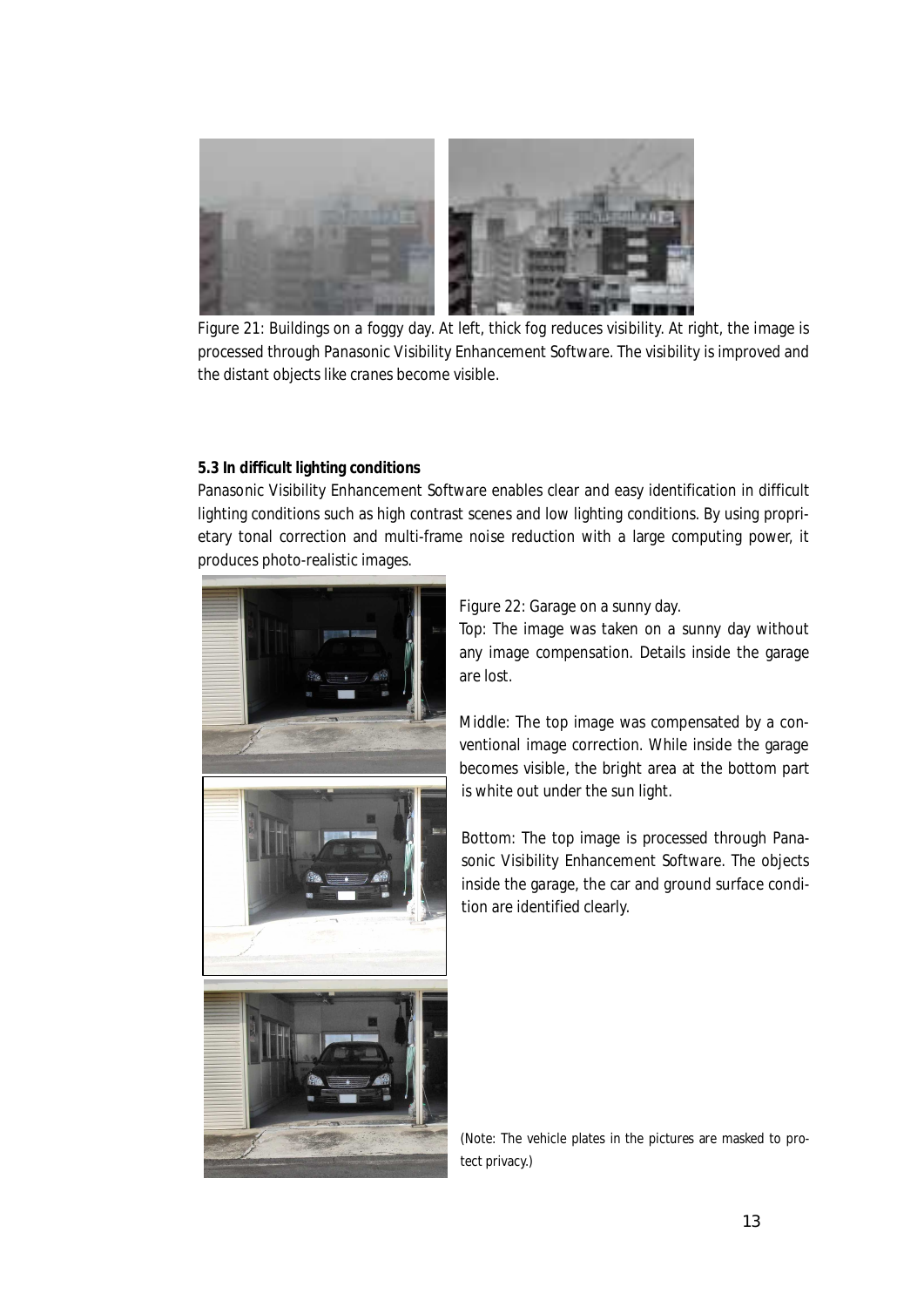

Figure 21: Buildings on a foggy day. At left, thick fog reduces visibility. At right, the image is processed through Panasonic Visibility Enhancement Software. The visibility is improved and the distant objects like cranes become visible.

#### **5.3 In difficult lighting conditions**

Panasonic Visibility Enhancement Software enables clear and easy identification in difficult lighting conditions such as high contrast scenes and low lighting conditions. By using proprietary tonal correction and multi-frame noise reduction with a large computing power, it produces photo-realistic images.



#### Figure 22: Garage on a sunny day.

Top: The image was taken on a sunny day without any image compensation. Details inside the garage are lost.

Middle: The top image was compensated by a conventional image correction. While inside the garage becomes visible, the bright area at the bottom part is white out under the sun light.

Bottom: The top image is processed through Panasonic Visibility Enhancement Software. The objects inside the garage, the car and ground surface condition are identified clearly.

(Note: The vehicle plates in the pictures are masked to protect privacy.)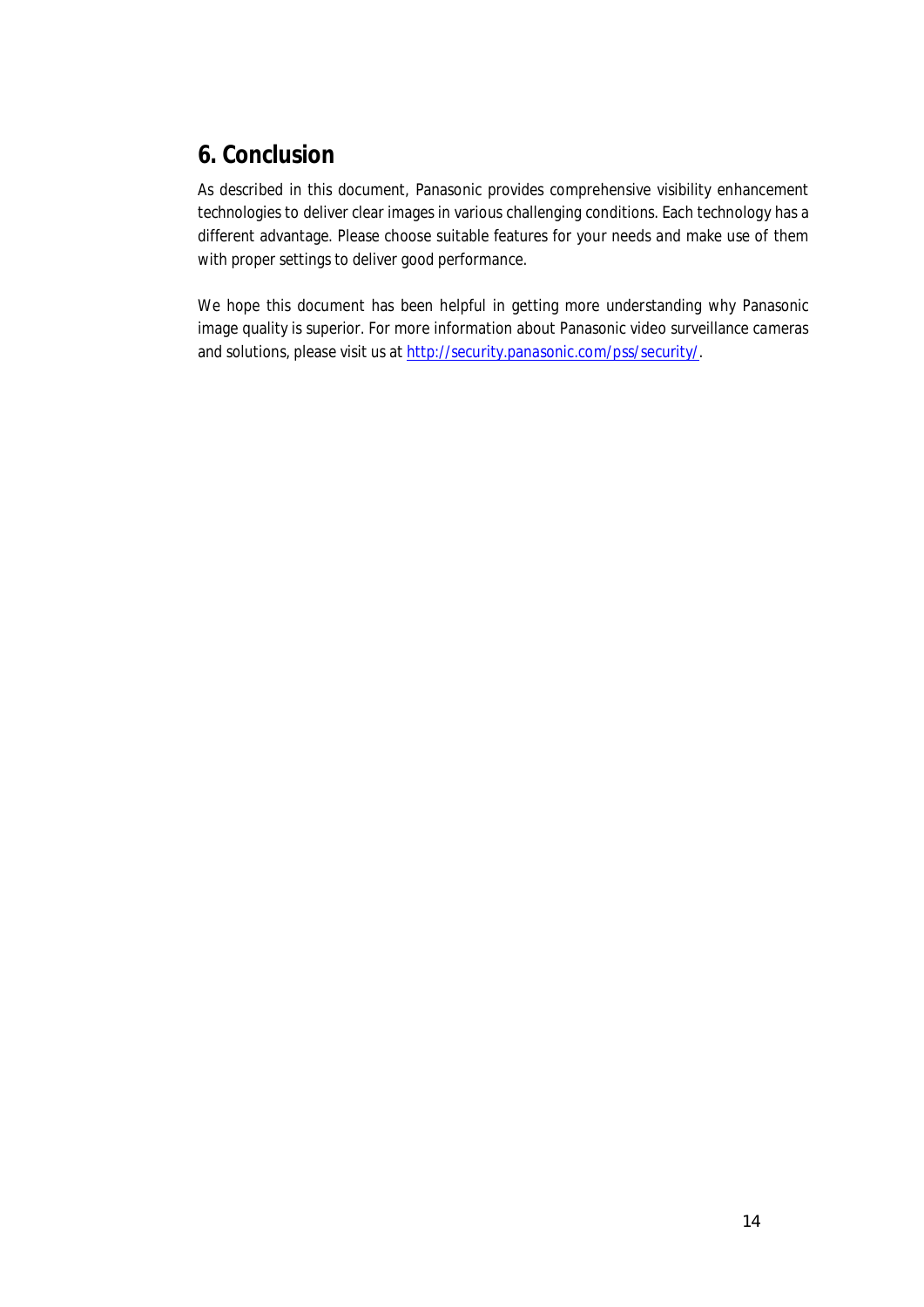### **6. Conclusion**

As described in this document, Panasonic provides comprehensive visibility enhancement technologies to deliver clear images in various challenging conditions. Each technology has a different advantage. Please choose suitable features for your needs and make use of them with proper settings to deliver good performance.

We hope this document has been helpful in getting more understanding why Panasonic image quality is superior. For more information about Panasonic video surveillance cameras and solutions, please visit us at http://security.panasonic.com/pss/security/.